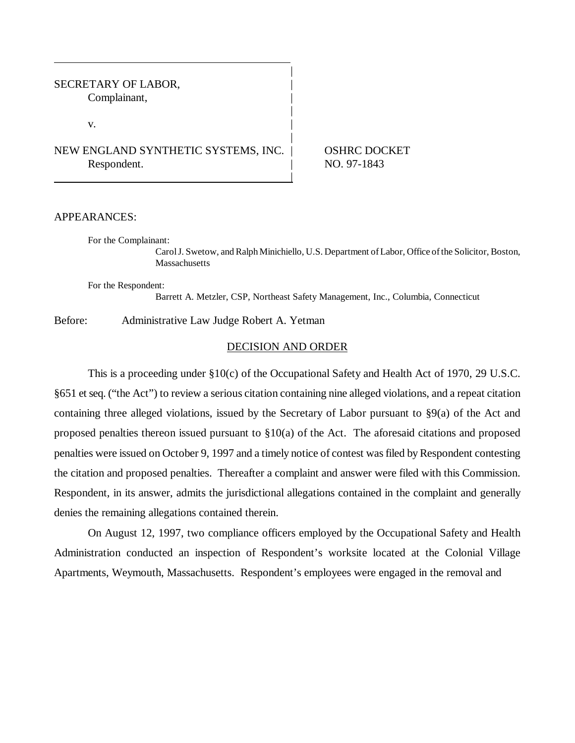## SECRETARY OF LABOR, Complainant, |

 $\mathbf{v}$ .

# NEW ENGLAND SYNTHETIC SYSTEMS, INC. | OSHRC DOCKET Respondent. NO. 97-1843

## APPEARANCES:

For the Complainant:

Carol J. Swetow, and Ralph Minichiello, U.S. Department of Labor, Office of the Solicitor, Boston, **Massachusetts** 

For the Respondent:

Barrett A. Metzler, CSP, Northeast Safety Management, Inc., Columbia, Connecticut

Before: Administrative Law Judge Robert A. Yetman

## DECISION AND ORDER

|

|

|

|

This is a proceeding under §10(c) of the Occupational Safety and Health Act of 1970, 29 U.S.C. §651 et seq. ("the Act") to review a serious citation containing nine alleged violations, and a repeat citation containing three alleged violations, issued by the Secretary of Labor pursuant to §9(a) of the Act and proposed penalties thereon issued pursuant to §10(a) of the Act. The aforesaid citations and proposed penalties were issued on October 9, 1997 and a timely notice of contest was filed by Respondent contesting the citation and proposed penalties. Thereafter a complaint and answer were filed with this Commission. Respondent, in its answer, admits the jurisdictional allegations contained in the complaint and generally denies the remaining allegations contained therein.

On August 12, 1997, two compliance officers employed by the Occupational Safety and Health Administration conducted an inspection of Respondent's worksite located at the Colonial Village Apartments, Weymouth, Massachusetts. Respondent's employees were engaged in the removal and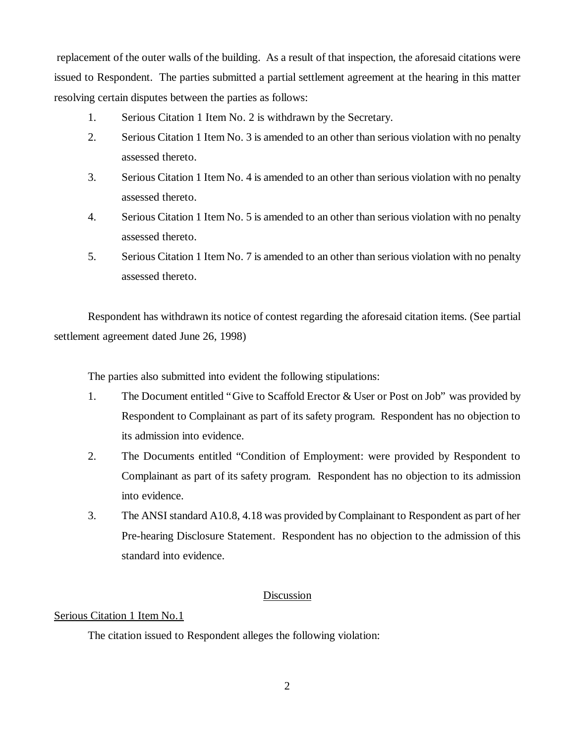replacement of the outer walls of the building. As a result of that inspection, the aforesaid citations were issued to Respondent. The parties submitted a partial settlement agreement at the hearing in this matter resolving certain disputes between the parties as follows:

- 1. Serious Citation 1 Item No. 2 is withdrawn by the Secretary.
- 2. Serious Citation 1 Item No. 3 is amended to an other than serious violation with no penalty assessed thereto.
- 3. Serious Citation 1 Item No. 4 is amended to an other than serious violation with no penalty assessed thereto.
- 4. Serious Citation 1 Item No. 5 is amended to an other than serious violation with no penalty assessed thereto.
- 5. Serious Citation 1 Item No. 7 is amended to an other than serious violation with no penalty assessed thereto.

Respondent has withdrawn its notice of contest regarding the aforesaid citation items. (See partial settlement agreement dated June 26, 1998)

The parties also submitted into evident the following stipulations:

- 1. The Document entitled "Give to Scaffold Erector & User or Post on Job" was provided by Respondent to Complainant as part of its safety program. Respondent has no objection to its admission into evidence.
- 2. The Documents entitled "Condition of Employment: were provided by Respondent to Complainant as part of its safety program. Respondent has no objection to its admission into evidence.
- 3. The ANSI standard A10.8, 4.18 was provided by Complainant to Respondent as part of her Pre-hearing Disclosure Statement. Respondent has no objection to the admission of this standard into evidence.

# Discussion

# Serious Citation 1 Item No.1

The citation issued to Respondent alleges the following violation: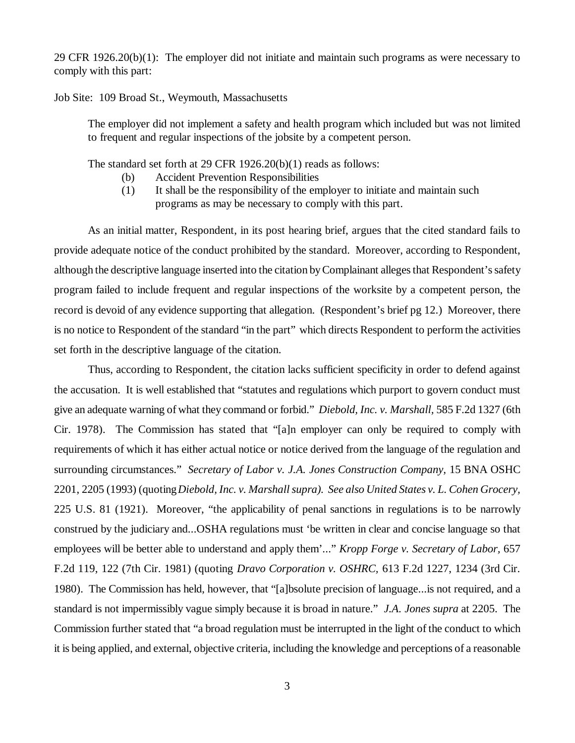29 CFR 1926.20(b)(1): The employer did not initiate and maintain such programs as were necessary to comply with this part:

Job Site: 109 Broad St., Weymouth, Massachusetts

The employer did not implement a safety and health program which included but was not limited to frequent and regular inspections of the jobsite by a competent person.

The standard set forth at 29 CFR 1926.20(b)(1) reads as follows:

- (b) Accident Prevention Responsibilities
- (1) It shall be the responsibility of the employer to initiate and maintain such programs as may be necessary to comply with this part.

As an initial matter, Respondent, in its post hearing brief, argues that the cited standard fails to provide adequate notice of the conduct prohibited by the standard. Moreover, according to Respondent, although the descriptive language inserted into the citation by Complainant alleges that Respondent's safety program failed to include frequent and regular inspections of the worksite by a competent person, the record is devoid of any evidence supporting that allegation. (Respondent's brief pg 12.) Moreover, there is no notice to Respondent of the standard "in the part" which directs Respondent to perform the activities set forth in the descriptive language of the citation.

Thus, according to Respondent, the citation lacks sufficient specificity in order to defend against the accusation. It is well established that "statutes and regulations which purport to govern conduct must give an adequate warning of what they command or forbid." *Diebold, Inc. v. Marshall,* 585 F.2d 1327 (6th Cir. 1978). The Commission has stated that "[a]n employer can only be required to comply with requirements of which it has either actual notice or notice derived from the language of the regulation and surrounding circumstances." *Secretary of Labor v. J.A. Jones Construction Company,* 15 BNA OSHC 2201, 2205 (1993) (quoting *Diebold, Inc. v. Marshall supra). See also United States v. L. Cohen Grocery,* 225 U.S. 81 (1921). Moreover, "the applicability of penal sanctions in regulations is to be narrowly construed by the judiciary and...OSHA regulations must 'be written in clear and concise language so that employees will be better able to understand and apply them'..." *Kropp Forge v. Secretary of Labor,* 657 F.2d 119, 122 (7th Cir. 1981) (quoting *Dravo Corporation v. OSHRC,* 613 F.2d 1227, 1234 (3rd Cir. 1980). The Commission has held, however, that "[a]bsolute precision of language...is not required, and a standard is not impermissibly vague simply because it is broad in nature." *J.A. Jones supra* at 2205. The Commission further stated that "a broad regulation must be interrupted in the light of the conduct to which it is being applied, and external, objective criteria, including the knowledge and perceptions of a reasonable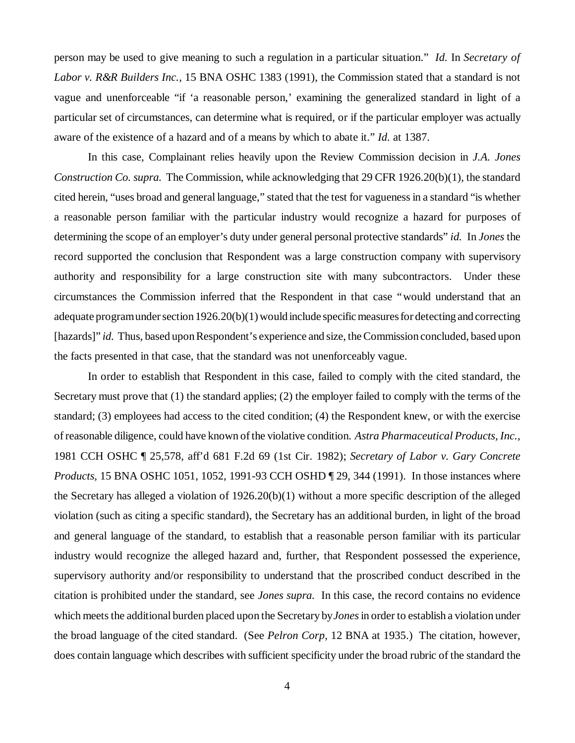person may be used to give meaning to such a regulation in a particular situation." *Id.* In *Secretary of Labor v. R&R Builders Inc.,* 15 BNA OSHC 1383 (1991), the Commission stated that a standard is not vague and unenforceable "if 'a reasonable person,' examining the generalized standard in light of a particular set of circumstances, can determine what is required, or if the particular employer was actually aware of the existence of a hazard and of a means by which to abate it." *Id.* at 1387.

In this case, Complainant relies heavily upon the Review Commission decision in *J.A. Jones Construction Co. supra.* The Commission, while acknowledging that 29 CFR 1926.20(b)(1), the standard cited herein, "uses broad and general language," stated that the test for vagueness in a standard "is whether a reasonable person familiar with the particular industry would recognize a hazard for purposes of determining the scope of an employer's duty under general personal protective standards" *id.* In *Jones* the record supported the conclusion that Respondent was a large construction company with supervisory authority and responsibility for a large construction site with many subcontractors. Under these circumstances the Commission inferred that the Respondent in that case "would understand that an adequate program under section 1926.20(b)(1) would include specific measures for detecting and correcting [hazards]" *id.* Thus, based upon Respondent's experience and size, the Commission concluded, based upon the facts presented in that case, that the standard was not unenforceably vague.

In order to establish that Respondent in this case, failed to comply with the cited standard, the Secretary must prove that (1) the standard applies; (2) the employer failed to comply with the terms of the standard; (3) employees had access to the cited condition; (4) the Respondent knew, or with the exercise of reasonable diligence, could have known of the violative condition. *Astra Pharmaceutical Products, Inc.,* 1981 CCH OSHC ¶ 25,578, aff'd 681 F.2d 69 (1st Cir. 1982); *Secretary of Labor v. Gary Concrete Products,* 15 BNA OSHC 1051, 1052, 1991-93 CCH OSHD ¶ 29, 344 (1991). In those instances where the Secretary has alleged a violation of 1926.20(b)(1) without a more specific description of the alleged violation (such as citing a specific standard), the Secretary has an additional burden, in light of the broad and general language of the standard, to establish that a reasonable person familiar with its particular industry would recognize the alleged hazard and, further, that Respondent possessed the experience, supervisory authority and/or responsibility to understand that the proscribed conduct described in the citation is prohibited under the standard, see *Jones supra.* In this case, the record contains no evidence which meets the additional burden placed upon the Secretary by *Jones*in order to establish a violation under the broad language of the cited standard. (See *Pelron Corp,* 12 BNA at 1935.) The citation, however, does contain language which describes with sufficient specificity under the broad rubric of the standard the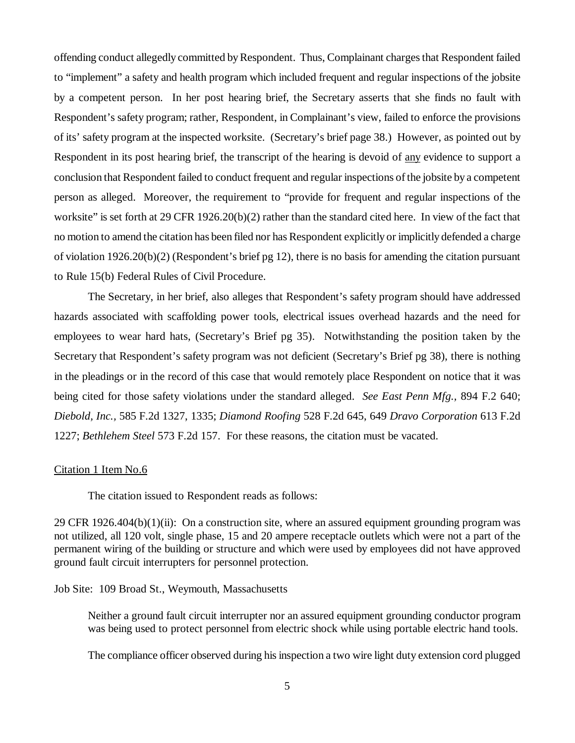offending conduct allegedly committed by Respondent. Thus, Complainant charges that Respondent failed to "implement" a safety and health program which included frequent and regular inspections of the jobsite by a competent person. In her post hearing brief, the Secretary asserts that she finds no fault with Respondent's safety program; rather, Respondent, in Complainant's view, failed to enforce the provisions of its' safety program at the inspected worksite. (Secretary's brief page 38.) However, as pointed out by Respondent in its post hearing brief, the transcript of the hearing is devoid of any evidence to support a conclusion that Respondent failed to conduct frequent and regular inspections of the jobsite by a competent person as alleged. Moreover, the requirement to "provide for frequent and regular inspections of the worksite" is set forth at 29 CFR 1926.20(b)(2) rather than the standard cited here. In view of the fact that no motion to amend the citation has been filed nor has Respondent explicitly or implicitly defended a charge of violation 1926.20(b)(2) (Respondent's brief pg 12), there is no basis for amending the citation pursuant to Rule 15(b) Federal Rules of Civil Procedure.

The Secretary, in her brief, also alleges that Respondent's safety program should have addressed hazards associated with scaffolding power tools, electrical issues overhead hazards and the need for employees to wear hard hats, (Secretary's Brief pg 35). Notwithstanding the position taken by the Secretary that Respondent's safety program was not deficient (Secretary's Brief pg 38), there is nothing in the pleadings or in the record of this case that would remotely place Respondent on notice that it was being cited for those safety violations under the standard alleged. *See East Penn Mfg.,* 894 F.2 640; *Diebold, Inc.,* 585 F.2d 1327, 1335; *Diamond Roofing* 528 F.2d 645, 649 *Dravo Corporation* 613 F.2d 1227; *Bethlehem Steel* 573 F.2d 157. For these reasons, the citation must be vacated.

#### Citation 1 Item No.6

The citation issued to Respondent reads as follows:

29 CFR 1926.404(b) $(1)(ii)$ : On a construction site, where an assured equipment grounding program was not utilized, all 120 volt, single phase, 15 and 20 ampere receptacle outlets which were not a part of the permanent wiring of the building or structure and which were used by employees did not have approved ground fault circuit interrupters for personnel protection.

Job Site: 109 Broad St., Weymouth, Massachusetts

Neither a ground fault circuit interrupter nor an assured equipment grounding conductor program was being used to protect personnel from electric shock while using portable electric hand tools.

The compliance officer observed during his inspection a two wire light duty extension cord plugged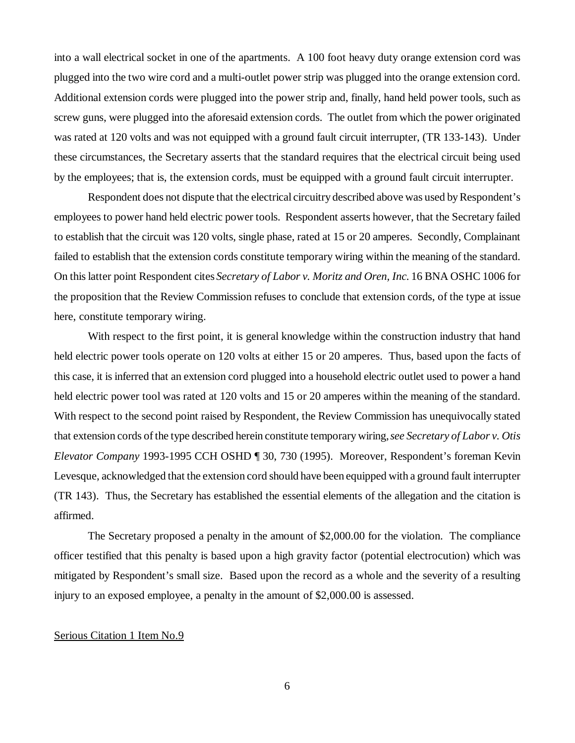into a wall electrical socket in one of the apartments. A 100 foot heavy duty orange extension cord was plugged into the two wire cord and a multi-outlet power strip was plugged into the orange extension cord. Additional extension cords were plugged into the power strip and, finally, hand held power tools, such as screw guns, were plugged into the aforesaid extension cords. The outlet from which the power originated was rated at 120 volts and was not equipped with a ground fault circuit interrupter, (TR 133-143). Under these circumstances, the Secretary asserts that the standard requires that the electrical circuit being used by the employees; that is, the extension cords, must be equipped with a ground fault circuit interrupter.

Respondent does not dispute that the electrical circuitry described above was used by Respondent's employees to power hand held electric power tools. Respondent asserts however, that the Secretary failed to establish that the circuit was 120 volts, single phase, rated at 15 or 20 amperes. Secondly, Complainant failed to establish that the extension cords constitute temporary wiring within the meaning of the standard. On this latter point Respondent cites *Secretary of Labor v. Moritz and Oren, Inc.* 16 BNA OSHC 1006 for the proposition that the Review Commission refuses to conclude that extension cords, of the type at issue here, constitute temporary wiring.

With respect to the first point, it is general knowledge within the construction industry that hand held electric power tools operate on 120 volts at either 15 or 20 amperes. Thus, based upon the facts of this case, it is inferred that an extension cord plugged into a household electric outlet used to power a hand held electric power tool was rated at 120 volts and 15 or 20 amperes within the meaning of the standard. With respect to the second point raised by Respondent, the Review Commission has unequivocally stated that extension cords of the type described herein constitute temporary wiring, *see Secretary of Labor v. Otis Elevator Company* 1993-1995 CCH OSHD ¶ 30, 730 (1995). Moreover, Respondent's foreman Kevin Levesque, acknowledged that the extension cord should have been equipped with a ground fault interrupter (TR 143). Thus, the Secretary has established the essential elements of the allegation and the citation is affirmed.

The Secretary proposed a penalty in the amount of \$2,000.00 for the violation. The compliance officer testified that this penalty is based upon a high gravity factor (potential electrocution) which was mitigated by Respondent's small size. Based upon the record as a whole and the severity of a resulting injury to an exposed employee, a penalty in the amount of \$2,000.00 is assessed.

## Serious Citation 1 Item No.9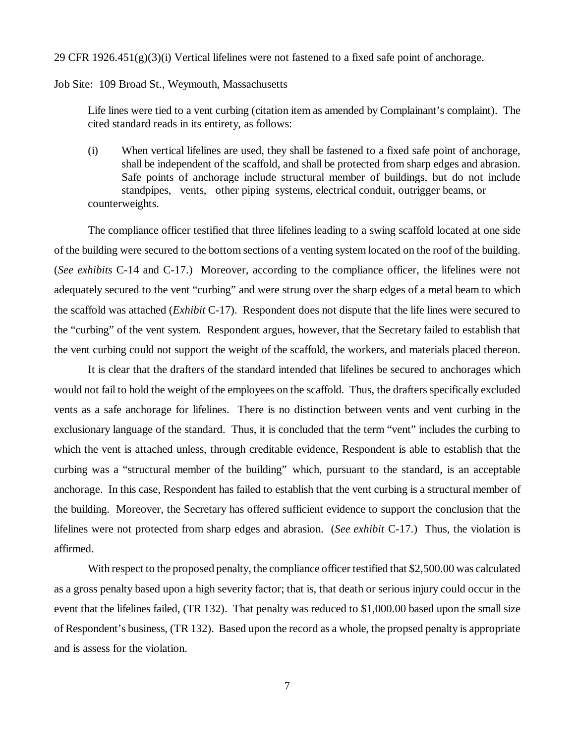29 CFR  $1926.451(g)(3)(i)$  Vertical lifelines were not fastened to a fixed safe point of anchorage.

#### Job Site: 109 Broad St., Weymouth, Massachusetts

Life lines were tied to a vent curbing (citation item as amended by Complainant's complaint). The cited standard reads in its entirety, as follows:

(i) When vertical lifelines are used, they shall be fastened to a fixed safe point of anchorage, shall be independent of the scaffold, and shall be protected from sharp edges and abrasion. Safe points of anchorage include structural member of buildings, but do not include standpipes, vents, other piping systems, electrical conduit, outrigger beams, or counterweights.

The compliance officer testified that three lifelines leading to a swing scaffold located at one side of the building were secured to the bottom sections of a venting system located on the roof of the building. (*See exhibits* C-14 and C-17.) Moreover, according to the compliance officer, the lifelines were not adequately secured to the vent "curbing" and were strung over the sharp edges of a metal beam to which the scaffold was attached (*Exhibit* C-17). Respondent does not dispute that the life lines were secured to the "curbing" of the vent system. Respondent argues, however, that the Secretary failed to establish that the vent curbing could not support the weight of the scaffold, the workers, and materials placed thereon.

It is clear that the drafters of the standard intended that lifelines be secured to anchorages which would not fail to hold the weight of the employees on the scaffold. Thus, the drafters specifically excluded vents as a safe anchorage for lifelines. There is no distinction between vents and vent curbing in the exclusionary language of the standard. Thus, it is concluded that the term "vent" includes the curbing to which the vent is attached unless, through creditable evidence, Respondent is able to establish that the curbing was a "structural member of the building" which, pursuant to the standard, is an acceptable anchorage. In this case, Respondent has failed to establish that the vent curbing is a structural member of the building. Moreover, the Secretary has offered sufficient evidence to support the conclusion that the lifelines were not protected from sharp edges and abrasion. (*See exhibit* C-17.) Thus, the violation is affirmed.

With respect to the proposed penalty, the compliance officer testified that \$2,500.00 was calculated as a gross penalty based upon a high severity factor; that is, that death or serious injury could occur in the event that the lifelines failed, (TR 132). That penalty was reduced to \$1,000.00 based upon the small size of Respondent's business, (TR 132). Based upon the record as a whole, the propsed penalty is appropriate and is assess for the violation.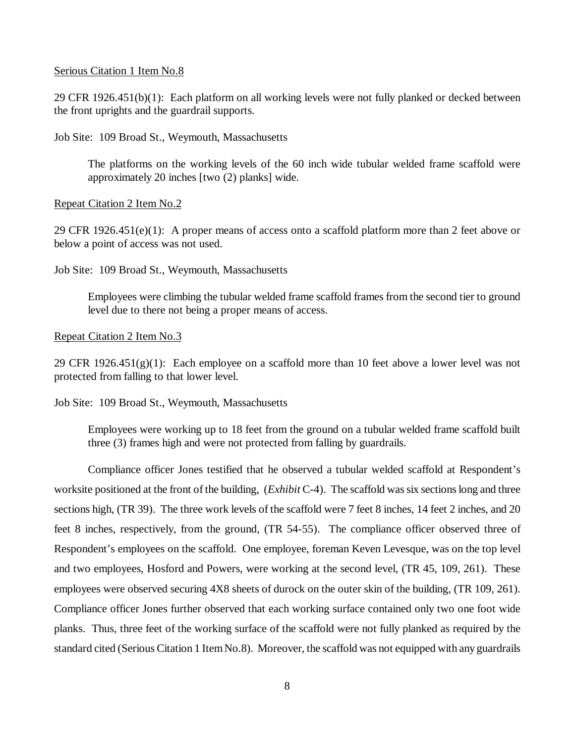#### Serious Citation 1 Item No.8

29 CFR 1926.451(b)(1): Each platform on all working levels were not fully planked or decked between the front uprights and the guardrail supports.

Job Site: 109 Broad St., Weymouth, Massachusetts

The platforms on the working levels of the 60 inch wide tubular welded frame scaffold were approximately 20 inches [two (2) planks] wide.

Repeat Citation 2 Item No.2

29 CFR 1926.451(e)(1): A proper means of access onto a scaffold platform more than 2 feet above or below a point of access was not used.

Job Site: 109 Broad St., Weymouth, Massachusetts

Employees were climbing the tubular welded frame scaffold frames from the second tier to ground level due to there not being a proper means of access.

#### Repeat Citation 2 Item No.3

29 CFR 1926.451(g)(1): Each employee on a scaffold more than 10 feet above a lower level was not protected from falling to that lower level.

Job Site: 109 Broad St., Weymouth, Massachusetts

Employees were working up to 18 feet from the ground on a tubular welded frame scaffold built three (3) frames high and were not protected from falling by guardrails.

Compliance officer Jones testified that he observed a tubular welded scaffold at Respondent's worksite positioned at the front of the building, (*Exhibit* C-4). The scaffold was six sections long and three sections high, (TR 39). The three work levels of the scaffold were 7 feet 8 inches, 14 feet 2 inches, and 20 feet 8 inches, respectively, from the ground, (TR 54-55). The compliance officer observed three of Respondent's employees on the scaffold. One employee, foreman Keven Levesque, was on the top level and two employees, Hosford and Powers, were working at the second level, (TR 45, 109, 261). These employees were observed securing 4X8 sheets of durock on the outer skin of the building, (TR 109, 261). Compliance officer Jones further observed that each working surface contained only two one foot wide planks. Thus, three feet of the working surface of the scaffold were not fully planked as required by the standard cited (Serious Citation 1 Item No.8). Moreover, the scaffold was not equipped with any guardrails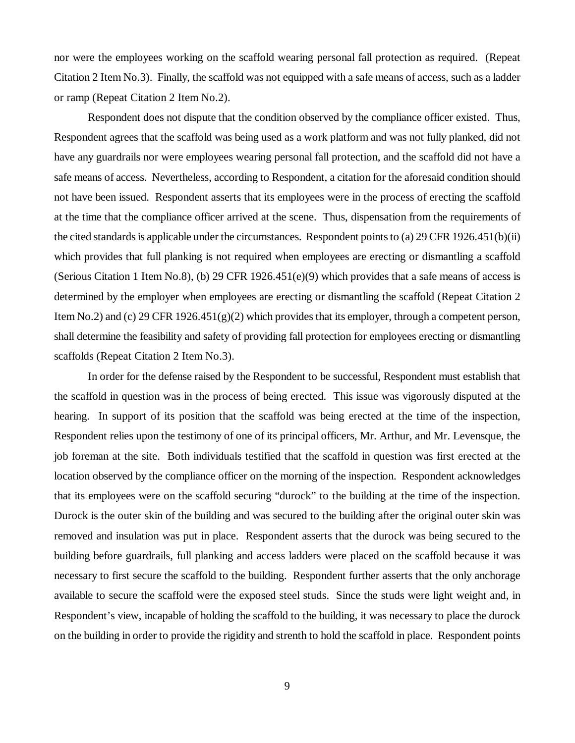nor were the employees working on the scaffold wearing personal fall protection as required. (Repeat Citation 2 Item No.3). Finally, the scaffold was not equipped with a safe means of access, such as a ladder or ramp (Repeat Citation 2 Item No.2).

Respondent does not dispute that the condition observed by the compliance officer existed. Thus, Respondent agrees that the scaffold was being used as a work platform and was not fully planked, did not have any guardrails nor were employees wearing personal fall protection, and the scaffold did not have a safe means of access. Nevertheless, according to Respondent, a citation for the aforesaid condition should not have been issued. Respondent asserts that its employees were in the process of erecting the scaffold at the time that the compliance officer arrived at the scene. Thus, dispensation from the requirements of the cited standards is applicable under the circumstances. Respondent points to (a) 29 CFR 1926.451(b)(ii) which provides that full planking is not required when employees are erecting or dismantling a scaffold (Serious Citation 1 Item No.8), (b) 29 CFR 1926.451(e)(9) which provides that a safe means of access is determined by the employer when employees are erecting or dismantling the scaffold (Repeat Citation 2 Item No.2) and (c) 29 CFR 1926.451(g)(2) which provides that its employer, through a competent person, shall determine the feasibility and safety of providing fall protection for employees erecting or dismantling scaffolds (Repeat Citation 2 Item No.3).

In order for the defense raised by the Respondent to be successful, Respondent must establish that the scaffold in question was in the process of being erected. This issue was vigorously disputed at the hearing. In support of its position that the scaffold was being erected at the time of the inspection, Respondent relies upon the testimony of one of its principal officers, Mr. Arthur, and Mr. Levensque, the job foreman at the site. Both individuals testified that the scaffold in question was first erected at the location observed by the compliance officer on the morning of the inspection. Respondent acknowledges that its employees were on the scaffold securing "durock" to the building at the time of the inspection. Durock is the outer skin of the building and was secured to the building after the original outer skin was removed and insulation was put in place. Respondent asserts that the durock was being secured to the building before guardrails, full planking and access ladders were placed on the scaffold because it was necessary to first secure the scaffold to the building. Respondent further asserts that the only anchorage available to secure the scaffold were the exposed steel studs. Since the studs were light weight and, in Respondent's view, incapable of holding the scaffold to the building, it was necessary to place the durock on the building in order to provide the rigidity and strenth to hold the scaffold in place. Respondent points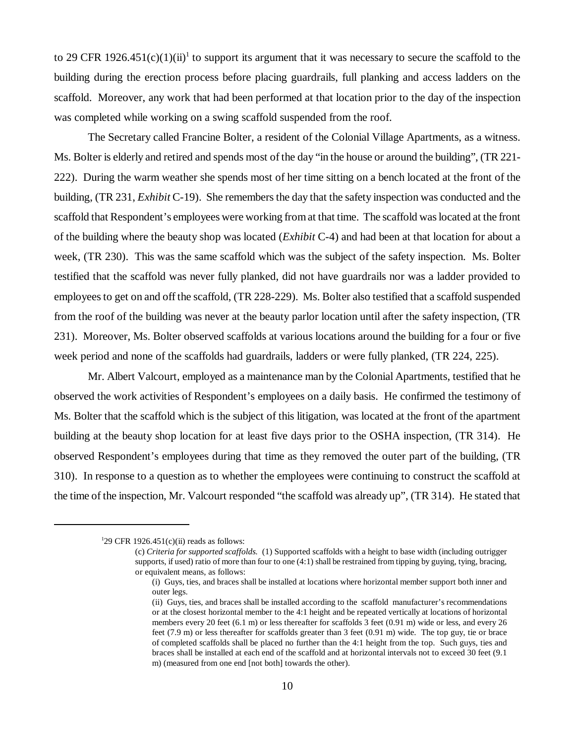to 29 CFR 1926.451(c)(1)(ii)<sup>1</sup> to support its argument that it was necessary to secure the scaffold to the building during the erection process before placing guardrails, full planking and access ladders on the scaffold. Moreover, any work that had been performed at that location prior to the day of the inspection was completed while working on a swing scaffold suspended from the roof.

The Secretary called Francine Bolter, a resident of the Colonial Village Apartments, as a witness. Ms. Bolter is elderly and retired and spends most of the day "in the house or around the building", (TR 221- 222). During the warm weather she spends most of her time sitting on a bench located at the front of the building, (TR 231, *Exhibit* C-19). She remembers the day that the safety inspection was conducted and the scaffold that Respondent's employees were working from at that time. The scaffold was located at the front of the building where the beauty shop was located (*Exhibit* C-4) and had been at that location for about a week, (TR 230). This was the same scaffold which was the subject of the safety inspection. Ms. Bolter testified that the scaffold was never fully planked, did not have guardrails nor was a ladder provided to employees to get on and off the scaffold, (TR 228-229). Ms. Bolter also testified that a scaffold suspended from the roof of the building was never at the beauty parlor location until after the safety inspection, (TR 231). Moreover, Ms. Bolter observed scaffolds at various locations around the building for a four or five week period and none of the scaffolds had guardrails, ladders or were fully planked, (TR 224, 225).

Mr. Albert Valcourt, employed as a maintenance man by the Colonial Apartments, testified that he observed the work activities of Respondent's employees on a daily basis. He confirmed the testimony of Ms. Bolter that the scaffold which is the subject of this litigation, was located at the front of the apartment building at the beauty shop location for at least five days prior to the OSHA inspection, (TR 314). He observed Respondent's employees during that time as they removed the outer part of the building, (TR 310). In response to a question as to whether the employees were continuing to construct the scaffold at the time of the inspection, Mr. Valcourt responded "the scaffold was already up", (TR 314). He stated that

<sup>&</sup>lt;sup>1</sup>29 CFR 1926.451(c)(ii) reads as follows:

<sup>(</sup>c) *Criteria for supported scaffolds.* (1) Supported scaffolds with a height to base width (including outrigger supports, if used) ratio of more than four to one (4:1) shall be restrained from tipping by guying, tying, bracing, or equivalent means, as follows:

<sup>(</sup>i) Guys, ties, and braces shall be installed at locations where horizontal member support both inner and outer legs.

<sup>(</sup>ii) Guys, ties, and braces shall be installed according to the scaffold manufacturer's recommendations or at the closest horizontal member to the 4:1 height and be repeated vertically at locations of horizontal members every 20 feet (6.1 m) or less thereafter for scaffolds 3 feet (0.91 m) wide or less, and every 26 feet (7.9 m) or less thereafter for scaffolds greater than 3 feet (0.91 m) wide. The top guy, tie or brace of completed scaffolds shall be placed no further than the 4:1 height from the top. Such guys, ties and braces shall be installed at each end of the scaffold and at horizontal intervals not to exceed 30 feet (9.1 m) (measured from one end [not both] towards the other).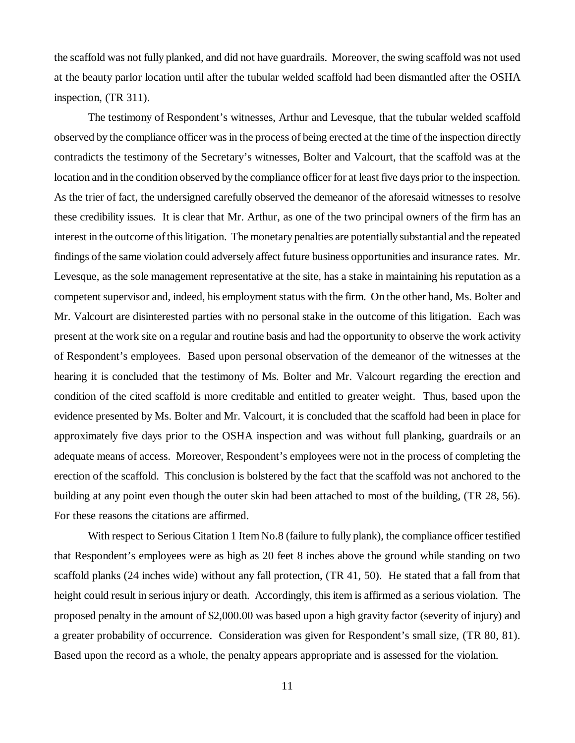the scaffold was not fully planked, and did not have guardrails. Moreover, the swing scaffold was not used at the beauty parlor location until after the tubular welded scaffold had been dismantled after the OSHA inspection, (TR 311).

The testimony of Respondent's witnesses, Arthur and Levesque, that the tubular welded scaffold observed by the compliance officer was in the process of being erected at the time of the inspection directly contradicts the testimony of the Secretary's witnesses, Bolter and Valcourt, that the scaffold was at the location and in the condition observed by the compliance officer for at least five days prior to the inspection. As the trier of fact, the undersigned carefully observed the demeanor of the aforesaid witnesses to resolve these credibility issues. It is clear that Mr. Arthur, as one of the two principal owners of the firm has an interest in the outcome of this litigation. The monetary penalties are potentially substantial and the repeated findings of the same violation could adversely affect future business opportunities and insurance rates. Mr. Levesque, as the sole management representative at the site, has a stake in maintaining his reputation as a competent supervisor and, indeed, his employment status with the firm. On the other hand, Ms. Bolter and Mr. Valcourt are disinterested parties with no personal stake in the outcome of this litigation. Each was present at the work site on a regular and routine basis and had the opportunity to observe the work activity of Respondent's employees. Based upon personal observation of the demeanor of the witnesses at the hearing it is concluded that the testimony of Ms. Bolter and Mr. Valcourt regarding the erection and condition of the cited scaffold is more creditable and entitled to greater weight. Thus, based upon the evidence presented by Ms. Bolter and Mr. Valcourt, it is concluded that the scaffold had been in place for approximately five days prior to the OSHA inspection and was without full planking, guardrails or an adequate means of access. Moreover, Respondent's employees were not in the process of completing the erection of the scaffold. This conclusion is bolstered by the fact that the scaffold was not anchored to the building at any point even though the outer skin had been attached to most of the building, (TR 28, 56). For these reasons the citations are affirmed.

With respect to Serious Citation 1 Item No.8 (failure to fully plank), the compliance officer testified that Respondent's employees were as high as 20 feet 8 inches above the ground while standing on two scaffold planks (24 inches wide) without any fall protection, (TR 41, 50). He stated that a fall from that height could result in serious injury or death. Accordingly, this item is affirmed as a serious violation. The proposed penalty in the amount of \$2,000.00 was based upon a high gravity factor (severity of injury) and a greater probability of occurrence. Consideration was given for Respondent's small size, (TR 80, 81). Based upon the record as a whole, the penalty appears appropriate and is assessed for the violation.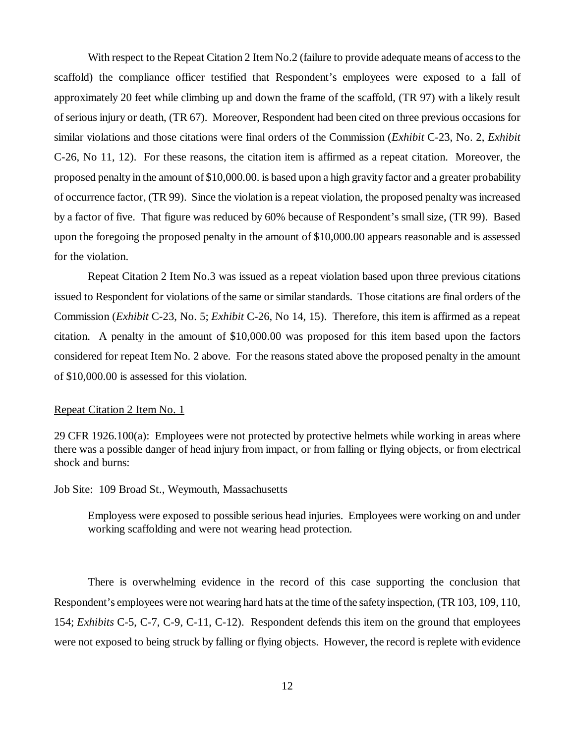With respect to the Repeat Citation 2 Item No.2 (failure to provide adequate means of access to the scaffold) the compliance officer testified that Respondent's employees were exposed to a fall of approximately 20 feet while climbing up and down the frame of the scaffold, (TR 97) with a likely result of serious injury or death, (TR 67). Moreover, Respondent had been cited on three previous occasions for similar violations and those citations were final orders of the Commission (*Exhibit* C-23, No. 2, *Exhibit* C-26, No 11, 12). For these reasons, the citation item is affirmed as a repeat citation. Moreover, the proposed penalty in the amount of \$10,000.00. is based upon a high gravity factor and a greater probability of occurrence factor, (TR 99). Since the violation is a repeat violation, the proposed penalty was increased by a factor of five. That figure was reduced by 60% because of Respondent's small size, (TR 99). Based upon the foregoing the proposed penalty in the amount of \$10,000.00 appears reasonable and is assessed for the violation.

Repeat Citation 2 Item No.3 was issued as a repeat violation based upon three previous citations issued to Respondent for violations of the same or similar standards. Those citations are final orders of the Commission (*Exhibit* C-23, No. 5; *Exhibit* C-26, No 14, 15). Therefore, this item is affirmed as a repeat citation. A penalty in the amount of \$10,000.00 was proposed for this item based upon the factors considered for repeat Item No. 2 above. For the reasons stated above the proposed penalty in the amount of \$10,000.00 is assessed for this violation.

### Repeat Citation 2 Item No. 1

29 CFR 1926.100(a): Employees were not protected by protective helmets while working in areas where there was a possible danger of head injury from impact, or from falling or flying objects, or from electrical shock and burns:

Job Site: 109 Broad St., Weymouth, Massachusetts

Employess were exposed to possible serious head injuries. Employees were working on and under working scaffolding and were not wearing head protection.

There is overwhelming evidence in the record of this case supporting the conclusion that Respondent's employees were not wearing hard hats at the time of the safety inspection, (TR 103, 109, 110, 154; *Exhibits* C-5, C-7, C-9, C-11, C-12). Respondent defends this item on the ground that employees were not exposed to being struck by falling or flying objects. However, the record is replete with evidence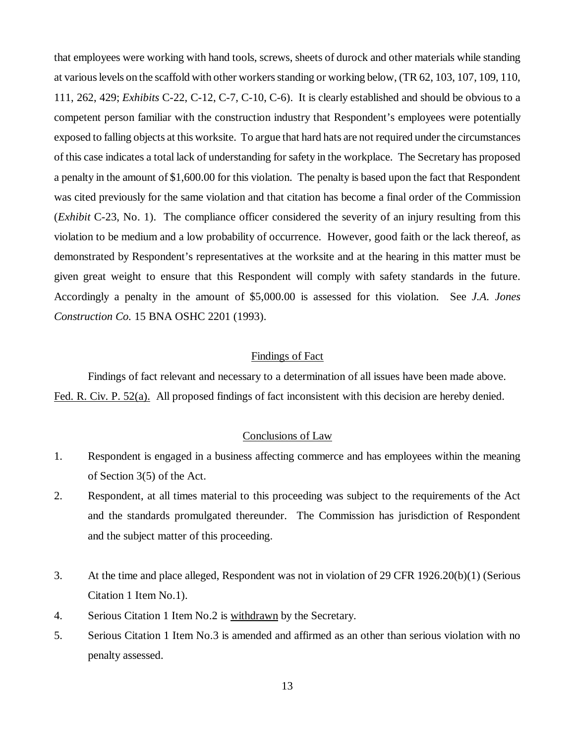that employees were working with hand tools, screws, sheets of durock and other materials while standing at various levels on the scaffold with other workers standing or working below, (TR 62, 103, 107, 109, 110, 111, 262, 429; *Exhibits* C-22, C-12, C-7, C-10, C-6). It is clearly established and should be obvious to a competent person familiar with the construction industry that Respondent's employees were potentially exposed to falling objects at this worksite. To argue that hard hats are not required under the circumstances of this case indicates a total lack of understanding for safety in the workplace. The Secretary has proposed a penalty in the amount of \$1,600.00 for this violation. The penalty is based upon the fact that Respondent was cited previously for the same violation and that citation has become a final order of the Commission (*Exhibit* C-23, No. 1). The compliance officer considered the severity of an injury resulting from this violation to be medium and a low probability of occurrence. However, good faith or the lack thereof, as demonstrated by Respondent's representatives at the worksite and at the hearing in this matter must be given great weight to ensure that this Respondent will comply with safety standards in the future. Accordingly a penalty in the amount of \$5,000.00 is assessed for this violation. See *J.A. Jones Construction Co.* 15 BNA OSHC 2201 (1993).

## Findings of Fact

Findings of fact relevant and necessary to a determination of all issues have been made above. Fed. R. Civ. P. 52(a). All proposed findings of fact inconsistent with this decision are hereby denied.

## Conclusions of Law

- 1. Respondent is engaged in a business affecting commerce and has employees within the meaning of Section 3(5) of the Act.
- 2. Respondent, at all times material to this proceeding was subject to the requirements of the Act and the standards promulgated thereunder. The Commission has jurisdiction of Respondent and the subject matter of this proceeding.
- 3. At the time and place alleged, Respondent was not in violation of 29 CFR 1926.20(b)(1) (Serious Citation 1 Item No.1).
- 4. Serious Citation 1 Item No.2 is withdrawn by the Secretary.
- 5. Serious Citation 1 Item No.3 is amended and affirmed as an other than serious violation with no penalty assessed.